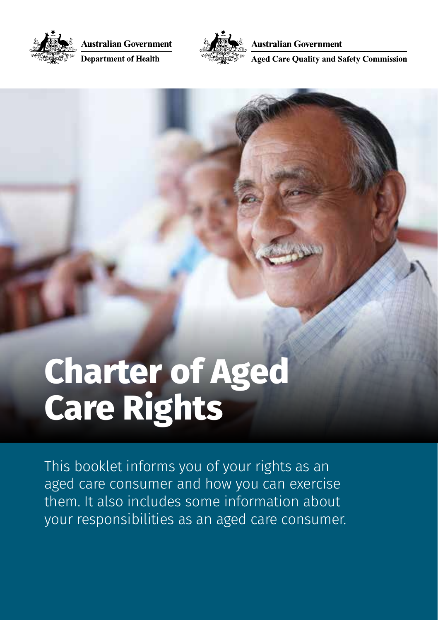

**Australian Government** 

**Department of Health** 



**Australian Government** 

**Aged Care Ouality and Safety Commission** 

# **Charter of Aged Care Rights**

This booklet informs you of your rights as an aged care consumer and how you can exercise them. It also includes some information about your responsibilities as an aged care consumer.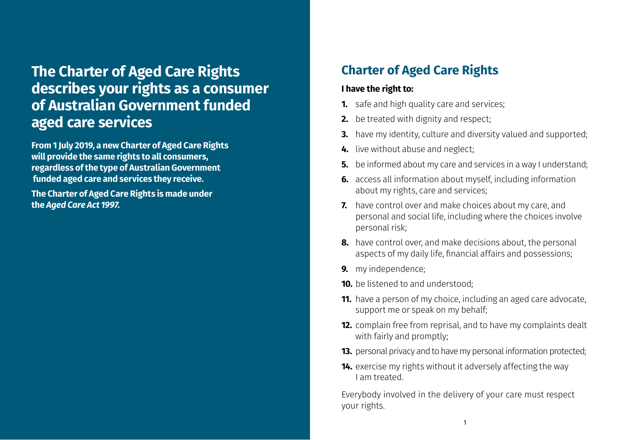## **The Charter of Aged Care Rights describes your rights as a consumer of Australian Government funded aged care services**

**From 1 July 2019, a new Charter of Aged Care Rights will provide the same rights to all consumers, regardless of the type of Australian Government funded aged care and services they receive.**

**The Charter of Aged Care Rights is made under the** *Aged Care Act 1997***.**

### **Charter of Aged Care Rights**

#### **I have the right to:**

- **1.** safe and high quality care and services;
- **2.** be treated with dignity and respect;
- **3.** have my identity, culture and diversity valued and supported;
- **4.** live without abuse and neglect;
- **5.** be informed about my care and services in a way I understand:
- **6.** access all information about myself, including information about my rights, care and services;
- **7.** have control over and make choices about my care, and personal and social life, including where the choices involve personal risk;
- **8.** have control over, and make decisions about, the personal aspects of my daily life, financial affairs and possessions;
- **9.** my independence;
- **10.** be listened to and understood;
- **11.** have a person of my choice, including an aged care advocate, support me or speak on my behalf;
- **12.** complain free from reprisal, and to have my complaints dealt with fairly and promptly;
- **13.** personal privacy and to have my personal information protected;
- **14.** exercise my rights without it adversely affecting the way I am treated.

Everybody involved in the delivery of your care must respect your rights.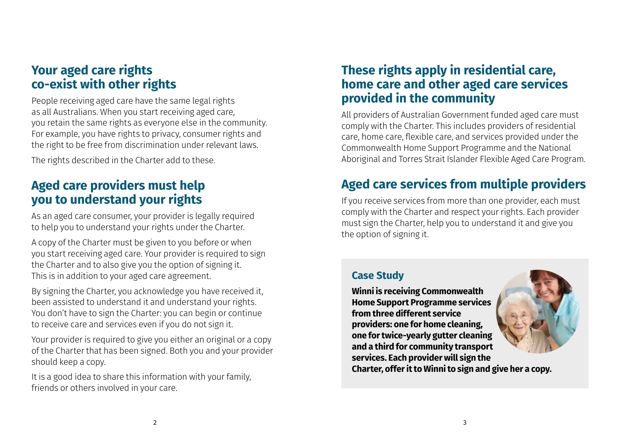### **Your aged care rights co-exist with other rights**

People receiving aged care have the same legal rights as all Australians. When you start receiving aged care, you retain the same rights as everyone else in the community. For example, you have rights to privacy, consumer rights and the right to be free from discrimination under relevant laws.

The rights described in the Charter add to these.

### **Aged care providers must help you to understand your rights**

As an aged care consumer, your provider is legally required to help you to understand your rights under the Charter.

A copy of the Charter must be given to you before or when you start receiving aged care. Your provider is required to sign the Charter and to also give you the option of signing it. This is in addition to your aged care agreement.

By signing the Charter, you acknowledge you have received it, been assisted to understand it and understand your rights. You don't have to sign the Charter: you can begin or continue to receive care and services even if you do not sign it.

Your provider is required to give you either an original or a copy of the Charter that has been signed. Both you and your provider should keep a copy.

It is a good idea to share this information with your family, friends or others involved in your care.

### **These rights apply in residential care, home care and other aged care services provided in the community**

All providers of Australian Government funded aged care must comply with the Charter. This includes providers of residential care, home care, flexible care, and services provided under the Commonwealth Home Support Programme and the National Aboriginal and Torres Strait Islander Flexible Aged Care Program.

### **Aged care services from multiple providers**

If you receive services from more than one provider, each must comply with the Charter and respect your rights. Each provider must sign the Charter, help you to understand it and give you the option of signing it.

#### **Case Study**

**Winni is receiving Commonwealth Home Support Programme services from three different service providers: one for home cleaning, one for twice-yearly gutter cleaning and a third for community transport services. Each provider will sign the Charter, offer it to Winni to sign and give her a copy.**

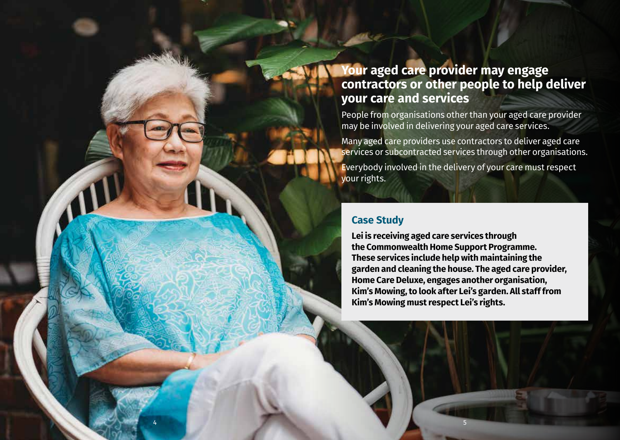### **Your aged care provider may engage contractors or other people to help deliver your care and services**

People from organisations other than your aged care provider may be involved in delivering your aged care services.

Many aged care providers use contractors to deliver aged care services or subcontracted services through other organisations.

Everybody involved in the delivery of your care must respect your rights.

#### **Case Study**

4 5

**Lei is receiving aged care services through the Commonwealth Home Support Programme. These services include help with maintaining the garden and cleaning the house. The aged care provider, Home Care Deluxe, engages another organisation, Kim's Mowing, to look after Lei's garden. All staff from Kim's Mowing must respect Lei's rights.**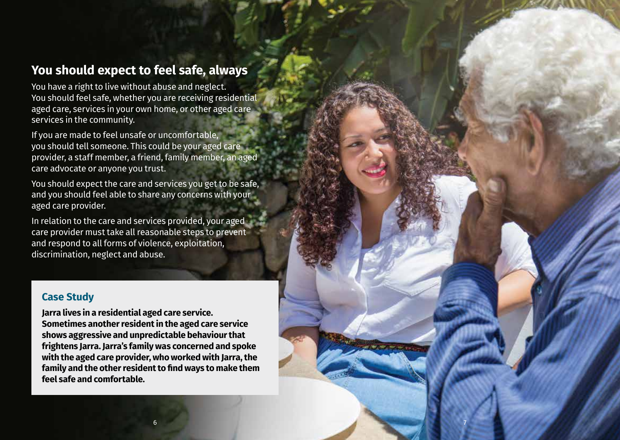### **You should expect to feel safe, always**

You have a right to live without abuse and neglect. You should feel safe, whether you are receiving residential aged care, services in your own home, or other aged care services in the community.

If you are made to feel unsafe or uncomfortable, you should tell someone. This could be your aged care provider, a staff member, a friend, family member, an aged care advocate or anyone you trust.

You should expect the care and services you get to be safe, and you should feel able to share any concerns with your aged care provider.

In relation to the care and services provided, your aged care provider must take all reasonable steps to prevent and respond to all forms of violence, exploitation, discrimination, neglect and abuse.

#### **Case Study**

**Jarra lives in a residential aged care service. Sometimes another resident in the aged care service shows aggressive and unpredictable behaviour that frightens Jarra. Jarra's family was concerned and spoke with the aged care provider, who worked with Jarra, the family and the other resident to find ways to make them feel safe and comfortable.**

7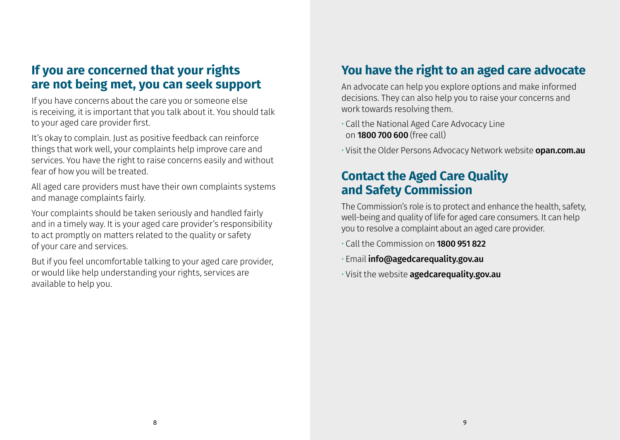### **If you are concerned that your rights are not being met, you can seek support**

If you have concerns about the care you or someone else is receiving, it is important that you talk about it. You should talk to your aged care provider first.

It's okay to complain. Just as positive feedback can reinforce things that work well, your complaints help improve care and services. You have the right to raise concerns easily and without fear of how you will be treated.

All aged care providers must have their own complaints systems and manage complaints fairly.

Your complaints should be taken seriously and handled fairly and in a timely way. It is your aged care provider's responsibility to act promptly on matters related to the quality or safety of your care and services.

But if you feel uncomfortable talking to your aged care provider, or would like help understanding your rights, services are available to help you.

### **You have the right to an aged care advocate**

An advocate can help you explore options and make informed decisions. They can also help you to raise your concerns and work towards resolving them.

- Call the National Aged Care Advocacy Line on 1800 700 600 (free call)
- Visit the Older Persons Advocacy Network website **opan.com.au**

### **Contact the Aged Care Quality and Safety Commission**

The Commission's role is to protect and enhance the health, safety, well-being and quality of life for aged care consumers. It can help you to resolve a complaint about an aged care provider.

- Call the Commission on 1800 951 822
- Email info@agedcarequality.gov.au
- Visit the website agedcarequality.gov.au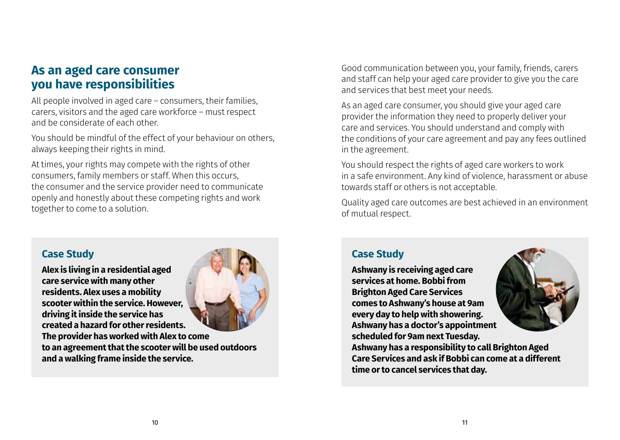### **As an aged care consumer you have responsibilities**

All people involved in aged care – consumers, their families, carers, visitors and the aged care workforce – must respect and be considerate of each other.

You should be mindful of the effect of your behaviour on others, always keeping their rights in mind.

At times, your rights may compete with the rights of other consumers, family members or staff. When this occurs, the consumer and the service provider need to communicate openly and honestly about these competing rights and work together to come to a solution.

#### **Case Study**

**Alex is living in a residential aged care service with many other residents. Alex uses a mobility scooter within the service. However, driving it inside the service has created a hazard for other residents. The provider has worked with Alex to come to an agreement that the scooter will be used outdoors and a walking frame inside the service.**



As an aged care consumer, you should give your aged care provider the information they need to properly deliver your care and services. You should understand and comply with the conditions of your care agreement and pay any fees outlined in the agreement.

You should respect the rights of aged care workers to work in a safe environment. Any kind of violence, harassment or abuse towards staff or others is not acceptable.

Quality aged care outcomes are best achieved in an environment of mutual respect.

#### **Case Study**

**Ashwany is receiving aged care services at home. Bobbi from Brighton Aged Care Services comes to Ashwany's house at 9am every day to help with showering. Ashwany has a doctor's appointment scheduled for 9am next Tuesday. time or to cancel services that day.**



**Ashwany has a responsibility to call Brighton Aged Care Services and ask if Bobbi can come at a different**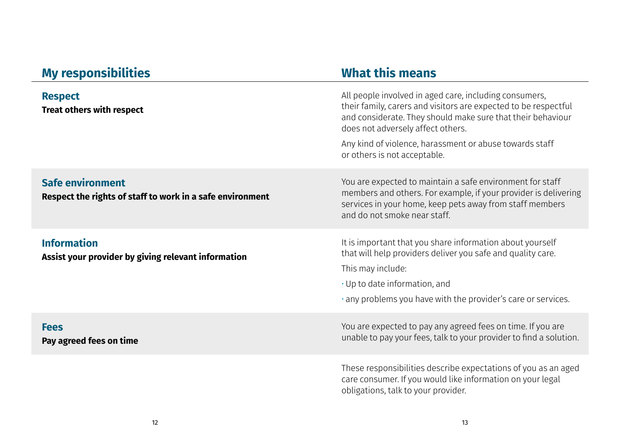#### **My responsibilities What this means Respect Treat others with respect** All people involved in aged care, including consumers, their family, carers and visitors are expected to be respectful and considerate. They should make sure that their behaviour does not adversely affect others. Any kind of violence, harassment or abuse towards staff or others is not acceptable. **Safe environment Respect the rights of staff to work in a safe environment** You are expected to maintain a safe environment for staff members and others. For example, if your provider is delivering services in your home, keep pets away from staff members and do not smoke near staff. **Information Assist your provider by giving relevant information** It is important that you share information about yourself that will help providers deliver you safe and quality care. This may include: • Up to date information, and • any problems you have with the provider's care or services. **Fees Pay agreed fees on time** You are expected to pay any agreed fees on time. If you are unable to pay your fees, talk to your provider to find a solution. These responsibilities describe expectations of you as an aged care consumer. If you would like information on your legal

obligations, talk to your provider.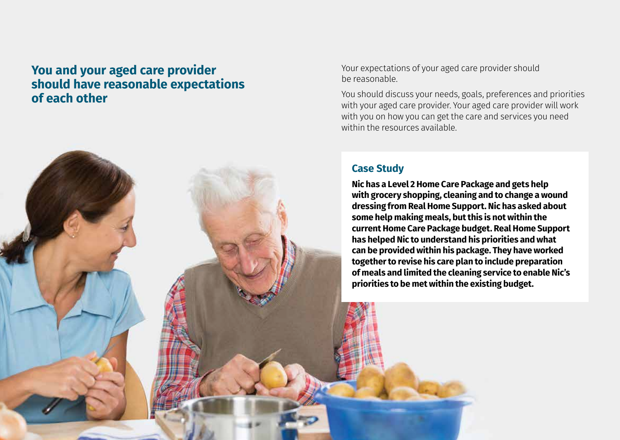### **You and your aged care provider should have reasonable expectations of each other**

Your expectations of your aged care provider should be reasonable.

You should discuss your needs, goals, preferences and priorities with your aged care provider. Your aged care provider will work with you on how you can get the care and services you need within the resources available.

#### **Case Study**

14 15

**Nic has a Level 2 Home Care Package and gets help with grocery shopping, cleaning and to change a wound dressing from Real Home Support. Nic has asked about some help making meals, but this is not within the current Home Care Package budget. Real Home Support has helped Nic to understand his priorities and what can be provided within his package. They have worked together to revise his care plan to include preparation of meals and limited the cleaning service to enable Nic's priorities to be met within the existing budget.**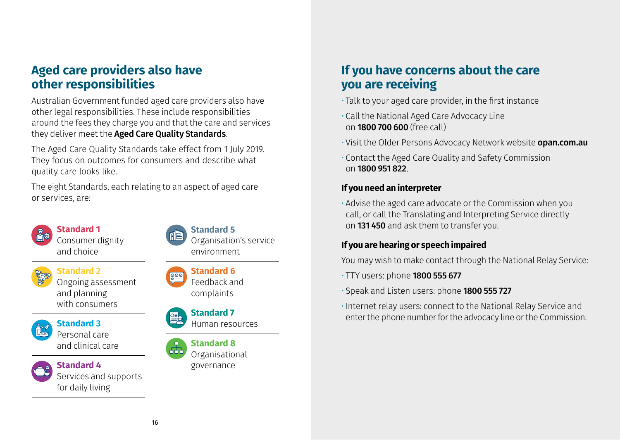### **Aged care providers also have other responsibilities**

Australian Government funded aged care providers also have other legal responsibilities. These include responsibilities around the fees they charge you and that the care and services they deliver meet the Aged Care Quality Standards.

The Aged Care Quality Standards take effect from 1 July 2019. They focus on outcomes for consumers and describe what quality care looks like.

The eight Standards, each relating to an aspect of aged care or services, are:

**Standard 1** Consumer dignity

and choice



#### **Standard 5**

Organisation's service environment



**Standard 2** Ongoing assessment and planning with consumers



**Standard 3** Personal care

and clinical care



### **Standard 4**

Services and supports for daily living





complaints



## Human resources

**Standard 8**  $\overline{AB}$ 



### **If you have concerns about the care you are receiving**

- Talk to your aged care provider, in the first instance
- Call the National Aged Care Advocacy Line on 1800 700 600 (free call)
- Visit the Older Persons Advocacy Network website **opan.com.au**
- Contact the Aged Care Quality and Safety Commission on 1800 951 822.

#### **If you need an interpreter**

• Advise the aged care advocate or the Commission when you call, or call the Translating and Interpreting Service directly on 131 450 and ask them to transfer you.

#### **If you are hearing or speech impaired**

You may wish to make contact through the National Relay Service:

- TTY users: phone **1800 555 677**
- Speak and Listen users: phone 1800 555 727
- Internet relay users: connect to the National Relay Service and enter the phone number for the advocacy line or the Commission.